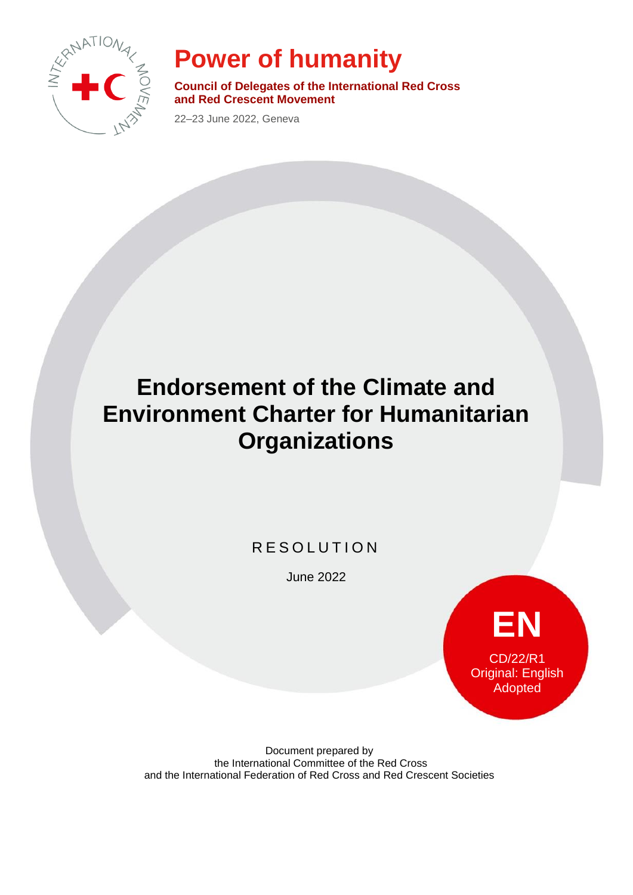

# **Power of humanity**

**Council of Delegates of the International Red Cross and Red Crescent Movement**

22–23 June 2022, Geneva

# **Endorsement of the Climate and Environment Charter for Humanitarian Organizations**

### R E S O L U T I O N

June 2022



Document prepared by the International Committee of the Red Cross and the International Federation of Red Cross and Red Crescent Societies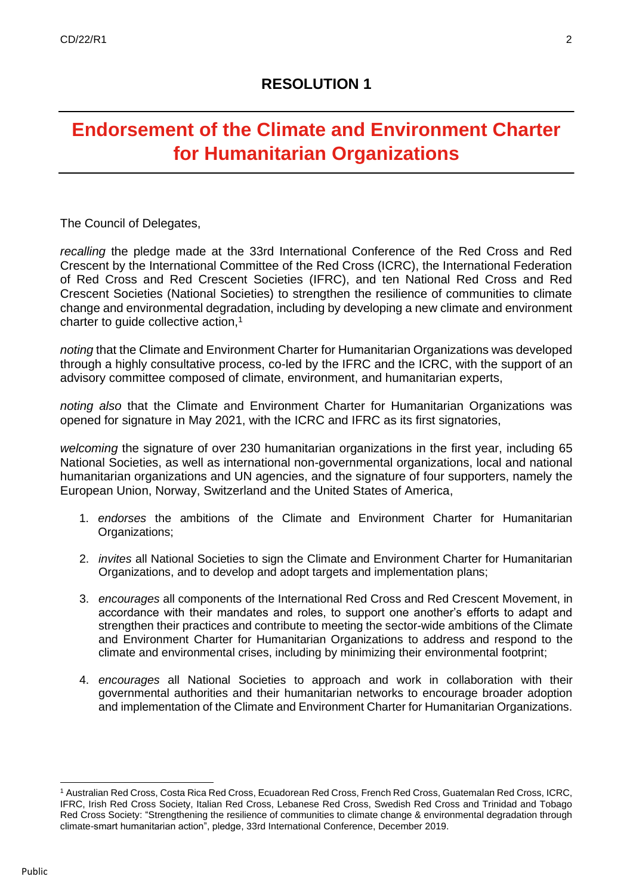## **Endorsement of the Climate and Environment Charter for Humanitarian Organizations**

The Council of Delegates,

*recalling* the pledge made at the 33rd International Conference of the Red Cross and Red Crescent by the International Committee of the Red Cross (ICRC), the International Federation of Red Cross and Red Crescent Societies (IFRC), and ten National Red Cross and Red Crescent Societies (National Societies) to strengthen the resilience of communities to climate change and environmental degradation, including by developing a new climate and environment charter to quide collective action,<sup>1</sup>

*noting* that the Climate and Environment Charter for Humanitarian Organizations was developed through a highly consultative process, co-led by the IFRC and the ICRC, with the support of an advisory committee composed of climate, environment, and humanitarian experts,

*noting also* that the Climate and Environment Charter for Humanitarian Organizations was opened for signature in May 2021, with the ICRC and IFRC as its first signatories,

*welcoming* the signature of over 230 humanitarian organizations in the first year, including 65 National Societies, as well as international non-governmental organizations, local and national humanitarian organizations and UN agencies, and the signature of four supporters, namely the European Union, Norway, Switzerland and the United States of America,

- 1. *endorses* the ambitions of the Climate and Environment Charter for Humanitarian Organizations:
- 2. *invites* all National Societies to sign the Climate and Environment Charter for Humanitarian Organizations, and to develop and adopt targets and implementation plans;
- 3. *encourages* all components of the International Red Cross and Red Crescent Movement, in accordance with their mandates and roles, to support one another's efforts to adapt and strengthen their practices and contribute to meeting the sector-wide ambitions of the Climate and Environment Charter for Humanitarian Organizations to address and respond to the climate and environmental crises, including by minimizing their environmental footprint;
- 4. *encourages* all National Societies to approach and work in collaboration with their governmental authorities and their humanitarian networks to encourage broader adoption and implementation of the Climate and Environment Charter for Humanitarian Organizations.

<sup>1</sup> Australian Red Cross, Costa Rica Red Cross, Ecuadorean Red Cross, French Red Cross, Guatemalan Red Cross, ICRC, IFRC, Irish Red Cross Society, Italian Red Cross, Lebanese Red Cross, Swedish Red Cross and Trinidad and Tobago Red Cross Society: "Strengthening the [resilience of communities to climate change & environmental degradation through](https://rcrcconference.org/pledge/strengthening-the-resilience-of-communities-to-climate-change-and-environmental-degradation-through-climate-smart-humanitarian-action-renforcer-la-resilience-des-communautes-face-aux-changements-cli/)  [climate-smart humanitarian action", pledge, 33rd International Conference, December 2019.](https://rcrcconference.org/pledge/strengthening-the-resilience-of-communities-to-climate-change-and-environmental-degradation-through-climate-smart-humanitarian-action-renforcer-la-resilience-des-communautes-face-aux-changements-cli/)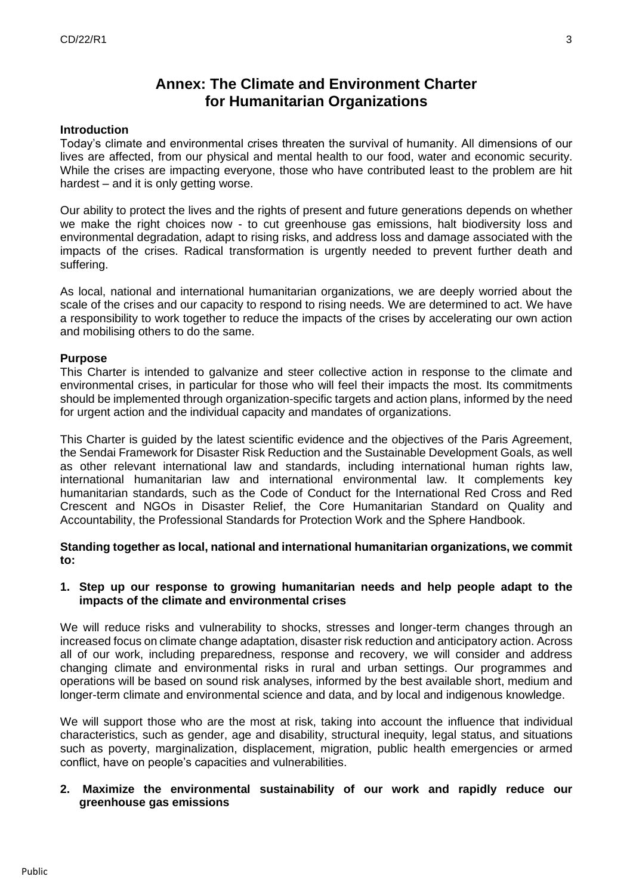### **Annex: The Climate and Environment Charter for Humanitarian Organizations**

#### **Introduction**

Today's climate and environmental crises threaten the survival of humanity. All dimensions of our lives are affected, from our physical and mental health to our food, water and economic security. While the crises are impacting everyone, those who have contributed least to the problem are hit hardest – and it is only getting worse.

Our ability to protect the lives and the rights of present and future generations depends on whether we make the right choices now - to cut greenhouse gas emissions, halt biodiversity loss and environmental degradation, adapt to rising risks, and address loss and damage associated with the impacts of the crises. Radical transformation is urgently needed to prevent further death and suffering.

As local, national and international humanitarian organizations, we are deeply worried about the scale of the crises and our capacity to respond to rising needs. We are determined to act. We have a responsibility to work together to reduce the impacts of the crises by accelerating our own action and mobilising others to do the same.

#### **Purpose**

This Charter is intended to galvanize and steer collective action in response to the climate and environmental crises, in particular for those who will feel their impacts the most. Its commitments should be implemented through organization-specific targets and action plans, informed by the need for urgent action and the individual capacity and mandates of organizations.

This Charter is guided by the latest scientific evidence and the objectives of the Paris Agreement, the Sendai Framework for Disaster Risk Reduction and the Sustainable Development Goals, as well as other relevant international law and standards, including international human rights law, international humanitarian law and international environmental law. It complements key humanitarian standards, such as the Code of Conduct for the International Red Cross and Red Crescent and NGOs in Disaster Relief, the Core Humanitarian Standard on Quality and Accountability, the Professional Standards for Protection Work and the Sphere Handbook.

**Standing together as local, national and international humanitarian organizations, we commit to:**

#### **1. Step up our response to growing humanitarian needs and help people adapt to the impacts of the climate and environmental crises**

We will reduce risks and vulnerability to shocks, stresses and longer-term changes through an increased focus on climate change adaptation, disaster risk reduction and anticipatory action. Across all of our work, including preparedness, response and recovery, we will consider and address changing climate and environmental risks in rural and urban settings. Our programmes and operations will be based on sound risk analyses, informed by the best available short, medium and longer-term climate and environmental science and data, and by local and indigenous knowledge.

We will support those who are the most at risk, taking into account the influence that individual characteristics, such as gender, age and disability, structural inequity, legal status, and situations such as poverty, marginalization, displacement, migration, public health emergencies or armed conflict, have on people's capacities and vulnerabilities.

#### **2. Maximize the environmental sustainability of our work and rapidly reduce our greenhouse gas emissions**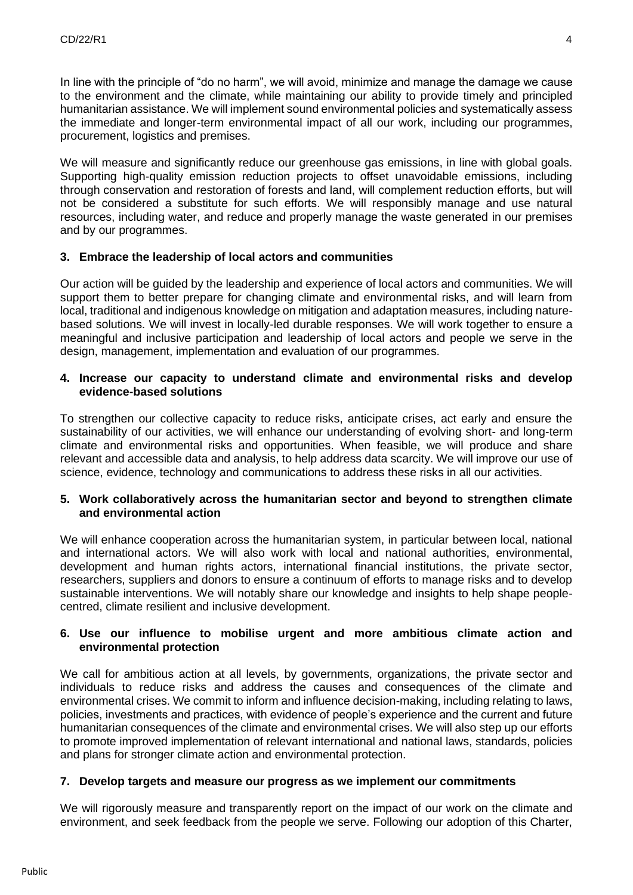In line with the principle of "do no harm", we will avoid, minimize and manage the damage we cause to the environment and the climate, while maintaining our ability to provide timely and principled humanitarian assistance. We will implement sound environmental policies and systematically assess the immediate and longer-term environmental impact of all our work, including our programmes, procurement, logistics and premises.

We will measure and significantly reduce our greenhouse gas emissions, in line with global goals. Supporting high-quality emission reduction projects to offset unavoidable emissions, including through conservation and restoration of forests and land, will complement reduction efforts, but will not be considered a substitute for such efforts. We will responsibly manage and use natural resources, including water, and reduce and properly manage the waste generated in our premises and by our programmes.

#### **3. Embrace the leadership of local actors and communities**

Our action will be guided by the leadership and experience of local actors and communities. We will support them to better prepare for changing climate and environmental risks, and will learn from local, traditional and indigenous knowledge on mitigation and adaptation measures, including naturebased solutions. We will invest in locally-led durable responses. We will work together to ensure a meaningful and inclusive participation and leadership of local actors and people we serve in the design, management, implementation and evaluation of our programmes.

#### **4. Increase our capacity to understand climate and environmental risks and develop evidence-based solutions**

To strengthen our collective capacity to reduce risks, anticipate crises, act early and ensure the sustainability of our activities, we will enhance our understanding of evolving short- and long-term climate and environmental risks and opportunities. When feasible, we will produce and share relevant and accessible data and analysis, to help address data scarcity. We will improve our use of science, evidence, technology and communications to address these risks in all our activities.

#### **5. Work collaboratively across the humanitarian sector and beyond to strengthen climate and environmental action**

We will enhance cooperation across the humanitarian system, in particular between local, national and international actors. We will also work with local and national authorities, environmental, development and human rights actors, international financial institutions, the private sector, researchers, suppliers and donors to ensure a continuum of efforts to manage risks and to develop sustainable interventions. We will notably share our knowledge and insights to help shape peoplecentred, climate resilient and inclusive development.

#### **6. Use our influence to mobilise urgent and more ambitious climate action and environmental protection**

We call for ambitious action at all levels, by governments, organizations, the private sector and individuals to reduce risks and address the causes and consequences of the climate and environmental crises. We commit to inform and influence decision-making, including relating to laws, policies, investments and practices, with evidence of people's experience and the current and future humanitarian consequences of the climate and environmental crises. We will also step up our efforts to promote improved implementation of relevant international and national laws, standards, policies and plans for stronger climate action and environmental protection.

#### **7. Develop targets and measure our progress as we implement our commitments**

We will rigorously measure and transparently report on the impact of our work on the climate and environment, and seek feedback from the people we serve. Following our adoption of this Charter,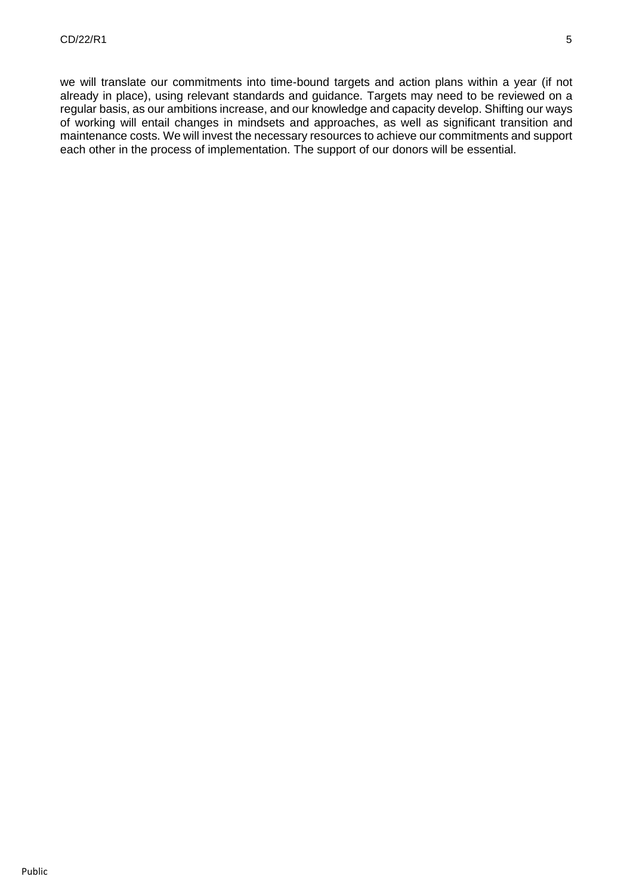we will translate our commitments into time-bound targets and action plans within a year (if not already in place), using relevant standards and guidance. Targets may need to be reviewed on a regular basis, as our ambitions increase, and our knowledge and capacity develop. Shifting our ways of working will entail changes in mindsets and approaches, as well as significant transition and maintenance costs. We will invest the necessary resources to achieve our commitments and support each other in the process of implementation. The support of our donors will be essential.